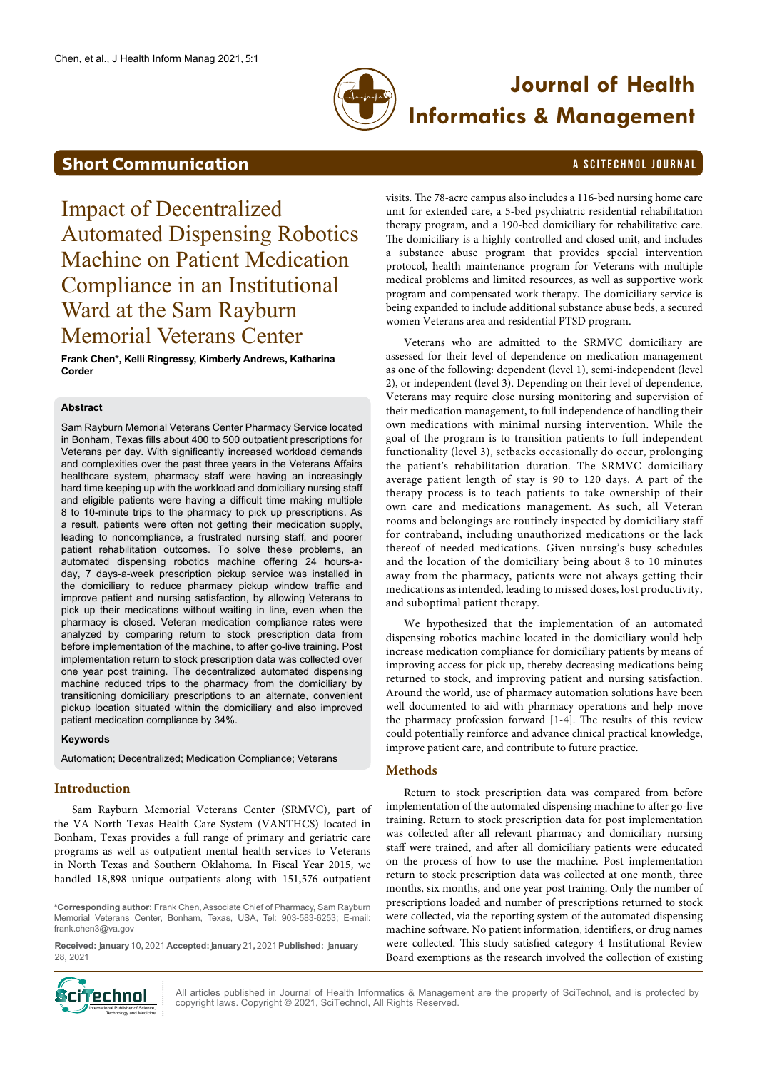

# **Journal of Health Informatics & Management**

## **Short Communication** A SCITECHNOL JOURNAL

<span id="page-0-0"></span>Impact of Decentralized Automated Dispensing Robotics Machine on Patient Medication Compliance in an Institutional Ward at the Sam Rayburn Memorial Veterans Center

**Frank Chen\*, Kelli Ringressy, Kimberly Andrews, Katharina Corder**

#### **Abstract**

Sam Rayburn Memorial Veterans Center Pharmacy Service located in Bonham, Texas fills about 400 to 500 outpatient prescriptions for Veterans per day. With significantly increased workload demands and complexities over the past three years in the Veterans Affairs healthcare system, pharmacy staff were having an increasingly hard time keeping up with the workload and domiciliary nursing staff and eligible patients were having a difficult time making multiple 8 to 10-minute trips to the pharmacy to pick up prescriptions. As a result, patients were often not getting their medication supply, leading to noncompliance, a frustrated nursing staff, and poorer patient rehabilitation outcomes. To solve these problems, an automated dispensing robotics machine offering 24 hours-aday, 7 days-a-week prescription pickup service was installed in the domiciliary to reduce pharmacy pickup window traffic and improve patient and nursing satisfaction, by allowing Veterans to pick up their medications without waiting in line, even when the pharmacy is closed. Veteran medication compliance rates were analyzed by comparing return to stock prescription data from before implementation of the machine, to after go-live training. Post implementation return to stock prescription data was collected over one year post training. The decentralized automated dispensing machine reduced trips to the pharmacy from the domiciliary by transitioning domiciliary prescriptions to an alternate, convenient pickup location situated within the domiciliary and also improved patient medication compliance by 34%.

#### **Keywords**

Automation; Decentralized; Medication Compliance; Veterans

#### **Introduction**

Sam Rayburn Memorial Veterans Center (SRMVC), part of the VA North Texas Health Care System (VANTHCS) located in Bonham, Texas provides a full range of primary and geriatric care programs as well as outpatient mental health services to Veterans in North Texas and Southern Oklahoma. In Fiscal Year 2015, we handled 18,898 unique outpatients along with 151,576 outpatient

**\*Corresponding author:** Frank Chen, Associate Chief of Pharmacy, Sam Rayburn Memorial Veterans Center, Bonham, Texas, USA, Tel: 903-583-6253; E-mail: frank.chen3@va.gov

**Received:** J**anuary** 10**,** 2021**Accepted:** J**anuary** 21**,** 2021**Published:** J**anuary** 28, 2021



All articles published in Journal of Health Informatics & Management are the property of SciTechnol, and is protected by copyright laws. Copyright © 2021, SciTechnol, All Rights Reserved.

visits. The 78-acre campus also includes a 116-bed nursing home care unit for extended care, a 5-bed psychiatric residential rehabilitation therapy program, and a 190-bed domiciliary for rehabilitative care. The domiciliary is a highly controlled and closed unit, and includes a substance abuse program that provides special intervention protocol, health maintenance program for Veterans with multiple medical problems and limited resources, as well as supportive work program and compensated work therapy. The domiciliary service is being expanded to include additional substance abuse beds, a secured women Veterans area and residential PTSD program.

Veterans who are admitted to the SRMVC domiciliary are assessed for their level of dependence on medication management as one of the following: dependent (level 1), semi-independent (level 2), or independent (level 3). Depending on their level of dependence, Veterans may require close nursing monitoring and supervision of their medication management, to full independence of handling their own medications with minimal nursing intervention. While the goal of the program is to transition patients to full independent functionality (level 3), setbacks occasionally do occur, prolonging the patient's rehabilitation duration. The SRMVC domiciliary average patient length of stay is 90 to 120 days. A part of the therapy process is to teach patients to take ownership of their own care and medications management. As such, all Veteran rooms and belongings are routinely inspected by domiciliary staff for contraband, including unauthorized medications or the lack thereof of needed medications. Given nursing's busy schedules and the location of the domiciliary being about 8 to 10 minutes away from the pharmacy, patients were not always getting their medications as intended, leading to missed doses, lost productivity, and suboptimal patient therapy.

We hypothesized that the implementation of an automated dispensing robotics machine located in the domiciliary would help increase medication compliance for domiciliary patients by means of improving access for pick up, thereby decreasing medications being returned to stock, and improving patient and nursing satisfaction. Around the world, use of pharmacy automation solutions have been well documented to aid with pharmacy operations and help move the pharmacy profession forward [1-4]. The results of this review could potentially reinforce and advance clinical practical knowledge, improve patient care, and contribute to future practice.

#### **Methods**

Return to stock prescription data was compared from before implementation of the automated dispensing machine to after go-live training. Return to stock prescription data for post implementation was collected after all relevant pharmacy and domiciliary nursing staff were trained, and after all domiciliary patients were educated on the process of how to use the machine. Post implementation return to stock prescription data was collected at one month, three months, six months, and one year post training. Only the number of prescriptions loaded and number of prescriptions returned to stock were collected, via the reporting system of the automated dispensing machine software. No patient information, identifiers, or drug names were collected. This study satisfied category 4 Institutional Review Board exemptions as the research involved the collection of existing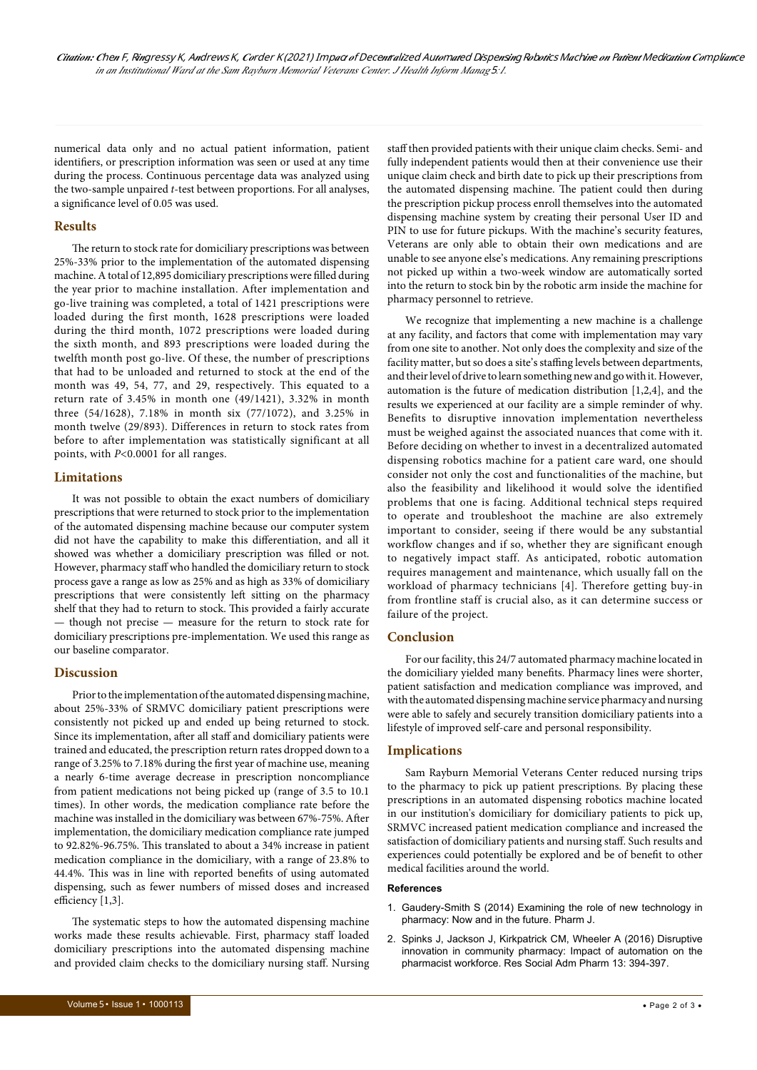numerical data only and no actual patient information, patient identifiers, or prescription information was seen or used at any time during the process. Continuous percentage data was analyzed using the two-sample unpaired *t*-test between proportions. For all analyses, a significance level of 0.05 was used.

#### **Results**

The return to stock rate for domiciliary prescriptions was between 25%-33% prior to the implementation of the automated dispensing machine. A total of 12,895 domiciliary prescriptions were filled during the year prior to machine installation. After implementation and go-live training was completed, a total of 1421 prescriptions were loaded during the first month, 1628 prescriptions were loaded during the third month, 1072 prescriptions were loaded during the sixth month, and 893 prescriptions were loaded during the twelfth month post go-live. Of these, the number of prescriptions that had to be unloaded and returned to stock at the end of the month was 49, 54, 77, and 29, respectively. This equated to a return rate of 3.45% in month one (49/1421), 3.32% in month three (54/1628), 7.18% in month six (77/1072), and 3.25% in month twelve (29/893). Differences in return to stock rates from before to after implementation was statistically significant at all points, with *P*<0.0001 for all ranges.

#### **Limitations**

It was not possible to obtain the exact numbers of domiciliary prescriptions that were returned to stock prior to the implementation of the automated dispensing machine because our computer system did not have the capability to make this differentiation, and all it showed was whether a domiciliary prescription was filled or not. However, pharmacy staff who handled the domiciliary return to stock process gave a range as low as 25% and as high as 33% of domiciliary prescriptions that were consistently left sitting on the pharmacy shelf that they had to return to stock. This provided a fairly accurate — though not precise — measure for the return to stock rate for domiciliary prescriptions pre-implementation. We used this range as our baseline comparator.

### **Discussion**

Prior to the implementation of the automated dispensing machine, about 25%-33% of SRMVC domiciliary patient prescriptions were consistently not picked up and ended up being returned to stock. Since its implementation, after all staff and domiciliary patients were trained and educated, the prescription return rates dropped down to a range of 3.25% to 7.18% during the first year of machine use, meaning a nearly 6-time average decrease in prescription noncompliance from patient medications not being picked up (range of 3.5 to 10.1 times). In other words, the medication compliance rate before the machine was installed in the domiciliary was between 67%-75%. After implementation, the domiciliary medication compliance rate jumped to 92.82%-96.75%. This translated to about a 34% increase in patient medication compliance in the domiciliary, with a range of 23.8% to 44.4%. This was in line with reported benefits of using automated dispensing, such as fewer numbers of missed doses and increased efficiency [1,3].

The systematic steps to how the automated dispensing machine works made these results achievable. First, pharmacy staff loaded domiciliary prescriptions into the automated dispensing machine and provided claim checks to the domiciliary nursing staff. Nursing

staff then provided patients with their unique claim checks. Semi- and fully independent patients would then at their convenience use their unique claim check and birth date to pick up their prescriptions from the automated dispensing machine. The patient could then during the prescription pickup process enroll themselves into the automated dispensing machine system by creating their personal User ID and PIN to use for future pickups. With the machine's security features, Veterans are only able to obtain their own medications and are unable to see anyone else's medications. Any remaining prescriptions not picked up within a two-week window are automatically sorted into the return to stock bin by the robotic arm inside the machine for pharmacy personnel to retrieve.

We recognize that implementing a new machine is a challenge at any facility, and factors that come with implementation may vary from one site to another. Not only does the complexity and size of the facility matter, but so does a site's staffing levels between departments, and their level of drive to learn something new and go with it. However, automation is the future of medication distribution [1,2,4], and the results we experienced at our facility are a simple reminder of why. Benefits to disruptive innovation implementation nevertheless must be weighed against the associated nuances that come with it. Before deciding on whether to invest in a decentralized automated dispensing robotics machine for a patient care ward, one should consider not only the cost and functionalities of the machine, but also the feasibility and likelihood it would solve the identified problems that one is facing. Additional technical steps required to operate and troubleshoot the machine are also extremely important to consider, seeing if there would be any substantial workflow changes and if so, whether they are significant enough to negatively impact staff. As anticipated, robotic automation requires management and maintenance, which usually fall on the workload of pharmacy technicians [4]. Therefore getting buy-in from frontline staff is crucial also, as it can determine success or failure of the project.

### **Conclusion**

For our facility, this 24/7 automated pharmacy machine located in the domiciliary yielded many benefits. Pharmacy lines were shorter, patient satisfaction and medication compliance was improved, and with the automated dispensing machine service pharmacy and nursing were able to safely and securely transition domiciliary patients into a lifestyle of improved self-care and personal responsibility.

#### **Implications**

Sam Rayburn Memorial Veterans Center reduced nursing trips to the pharmacy to pick up patient prescriptions. By placing these prescriptions in an automated dispensing robotics machine located in our institution's domiciliary for domiciliary patients to pick up, SRMVC increased patient medication compliance and increased the satisfaction of domiciliary patients and nursing staff. Such results and experiences could potentially be explored and be of benefit to other medical facilities around the world.

#### **References**

- 1. [Gaudery-Smith S \(2014\) Examining the role of new technology in](https://www.pharmaceutical-journal.com/examining-the-role-of-new-technology-in-pharmacy-now-and-in-the-future/11134174.article)  [pharmacy: Now and in the future. Pharm J.](https://www.pharmaceutical-journal.com/examining-the-role-of-new-technology-in-pharmacy-now-and-in-the-future/11134174.article)
- 2. [Spinks J, Jackson J, Kirkpatrick CM, Wheeler A \(2016\) Disruptive](https://www.sciencedirect.com/science/article/pii/S1551741116300912?via%3Dihub)  [innovation in community pharmacy: Impact of automation on the](https://www.sciencedirect.com/science/article/pii/S1551741116300912?via%3Dihub)  [pharmacist workforce. Res Social Adm Pharm 13: 394-397.](https://www.sciencedirect.com/science/article/pii/S1551741116300912?via%3Dihub)